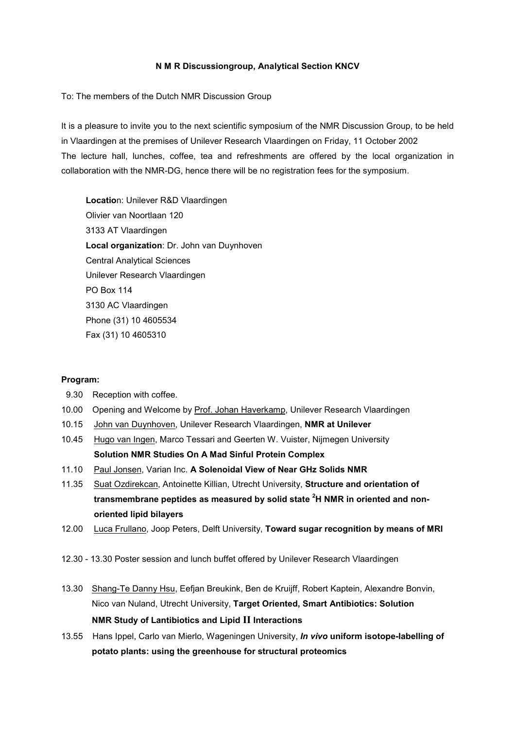# **N M R Discussiongroup, Analytical Section KNCV**

To: The members of the Dutch NMR Discussion Group

It is a pleasure to invite you to the next scientific symposium of the NMR Discussion Group, to be held in Vlaardingen at the premises of Unilever Research Vlaardingen on Friday, 11 October 2002 The lecture hall, lunches, coffee, tea and refreshments are offered by the local organization in collaboration with the NMR-DG, hence there will be no registration fees for the symposium.

**Locatio**n: Unilever R&D Vlaardingen Olivier van Noortlaan 120 3133 AT Vlaardingen **Local organization**: Dr. John van Duynhoven Central Analytical Sciences Unilever Research Vlaardingen PO Box 114 3130 AC Vlaardingen Phone (31) 10 4605534 Fax (31) 10 4605310

### **Program:**

- 9.30 Reception with coffee.
- 10.00 Opening and Welcome by Prof. Johan Haverkamp, Unilever Research Vlaardingen
- 10.15 John van Duynhoven, Unilever Research Vlaardingen, **NMR at Unilever**
- 10.45 Hugo van Ingen, Marco Tessari and Geerten W. Vuister, Nijmegen University **Solution NMR Studies On A Mad Sinful Protein Complex**
- 11.10 Paul Jonsen, Varian Inc. **A Solenoidal View of Near GHz Solids NMR**
- 11.35 Suat Ozdirekcan, Antoinette Killian, Utrecht University, Structure and orientation of **transmembrane peptides as measured by solid state <sup>2</sup> H NMR in oriented and nonoriented lipid bilayers**
- 12.00 Luca Frullano, Joop Peters, Delft University, **Toward sugar recognition by means of MRI**
- 12.30 13.30 Poster session and lunch buffet offered by Unilever Research Vlaardingen
- 13.30 Shang-Te Danny Hsu, Eefjan Breukink, Ben de Kruijff, Robert Kaptein, Alexandre Bonvin, Nico van Nuland, Utrecht University, **Target Oriented, Smart Antibiotics: Solution NMR Study of Lantibiotics and Lipid II Interactions**
- 13.55 Hans Ippel, Carlo van Mierlo, Wageningen University, *In vivo* **uniform isotope-labelling of potato plants: using the greenhouse for structural proteomics**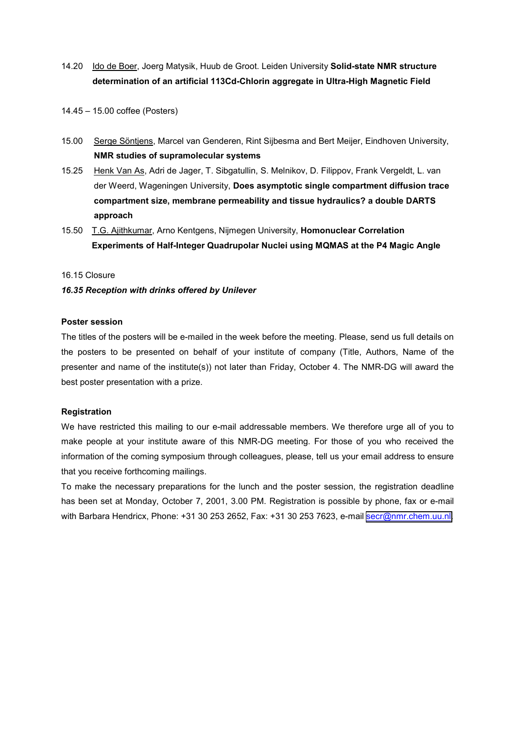- 14.20 Ido de Boer, Joerg Matysik, Huub de Groot. Leiden University **Solid-state NMR structure determination of an artificial 113Cd-Chlorin aggregate in Ultra-High Magnetic Field**
- 14.45 15.00 coffee (Posters)
- 15.00 Serge Söntjens, Marcel van Genderen, Rint Sijbesma and Bert Meijer, Eindhoven University, **NMR studies of supramolecular systems**
- 15.25 Henk Van As, Adri de Jager, T. Sibgatullin, S. Melnikov, D. Filippov, Frank Vergeldt, L. van der Weerd, Wageningen University, **Does asymptotic single compartment diffusion trace compartment size, membrane permeability and tissue hydraulics? a double DARTS approach**
- 15.50 T.G. Ajithkumar, Arno Kentgens, Nijmegen University, **Homonuclear Correlation Experiments of Half-Integer Quadrupolar Nuclei using MQMAS at the P4 Magic Angle**

### 16.15 Closure

# *16.35 Reception with drinks offered by Unilever*

# **Poster session**

The titles of the posters will be e-mailed in the week before the meeting. Please, send us full details on the posters to be presented on behalf of your institute of company (Title, Authors, Name of the presenter and name of the institute(s)) not later than Friday, October 4. The NMR-DG will award the best poster presentation with a prize.

### **Registration**

We have restricted this mailing to our e-mail addressable members. We therefore urge all of you to make people at your institute aware of this NMR-DG meeting. For those of you who received the information of the coming symposium through colleagues, please, tell us your email address to ensure that you receive forthcoming mailings.

To make the necessary preparations for the lunch and the poster session, the registration deadline has been set at Monday, October 7, 2001, 3.00 PM. Registration is possible by phone, fax or e-mail with Barbara Hendricx, Phone: +31 30 253 2652, Fax: +31 30 253 7623, e-mail [secr@nmr.chem.uu.nl.](mailto:secr@nmr.chem.uu.nl)